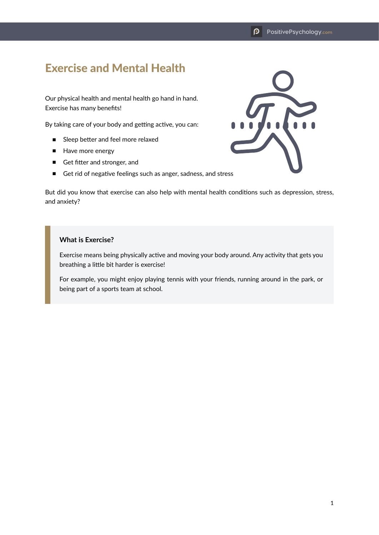## Exercise and Mental Health

Our physical health and mental health go hand in hand. Exercise has many benefits!

By taking care of your body and getting active, you can:

- Sleep better and feel more relaxed
- Have more energy
- Get fitter and stronger, and
- Get rid of negative feelings such as anger, sadness, and stress

But did you know that exercise can also help with mental health conditions such as depression, stress, and anxiety?

## **What is Exercise?**

Exercise means being physically active and moving your body around. Any activity that gets you breathing a little bit harder is exercise!

For example, you might enjoy playing tennis with your friends, running around in the park, or being part of a sports team at school.